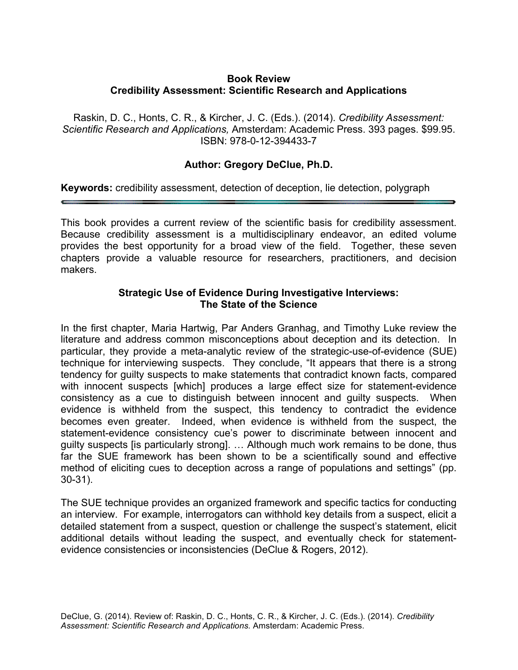### **Book Review Credibility Assessment: Scientific Research and Applications**

Raskin, D. C., Honts, C. R., & Kircher, J. C. (Eds.). (2014). *Credibility Assessment: Scientific Research and Applications,* Amsterdam: Academic Press. 393 pages. \$99.95. ISBN: 978-0-12-394433-7

# **Author: Gregory DeClue, Ph.D.**

**Keywords:** credibility assessment, detection of deception, lie detection, polygraph

This book provides a current review of the scientific basis for credibility assessment. Because credibility assessment is a multidisciplinary endeavor, an edited volume provides the best opportunity for a broad view of the field. Together, these seven chapters provide a valuable resource for researchers, practitioners, and decision makers.

### **Strategic Use of Evidence During Investigative Interviews: The State of the Science**

In the first chapter, Maria Hartwig, Par Anders Granhag, and Timothy Luke review the literature and address common misconceptions about deception and its detection. In particular, they provide a meta-analytic review of the strategic-use-of-evidence (SUE) technique for interviewing suspects. They conclude, "It appears that there is a strong tendency for guilty suspects to make statements that contradict known facts, compared with innocent suspects [which] produces a large effect size for statement-evidence consistency as a cue to distinguish between innocent and guilty suspects. When evidence is withheld from the suspect, this tendency to contradict the evidence becomes even greater. Indeed, when evidence is withheld from the suspect, the statement-evidence consistency cue's power to discriminate between innocent and guilty suspects [is particularly strong]. … Although much work remains to be done, thus far the SUE framework has been shown to be a scientifically sound and effective method of eliciting cues to deception across a range of populations and settings" (pp. 30-31).

The SUE technique provides an organized framework and specific tactics for conducting an interview. For example, interrogators can withhold key details from a suspect, elicit a detailed statement from a suspect, question or challenge the suspect's statement, elicit additional details without leading the suspect, and eventually check for statementevidence consistencies or inconsistencies (DeClue & Rogers, 2012).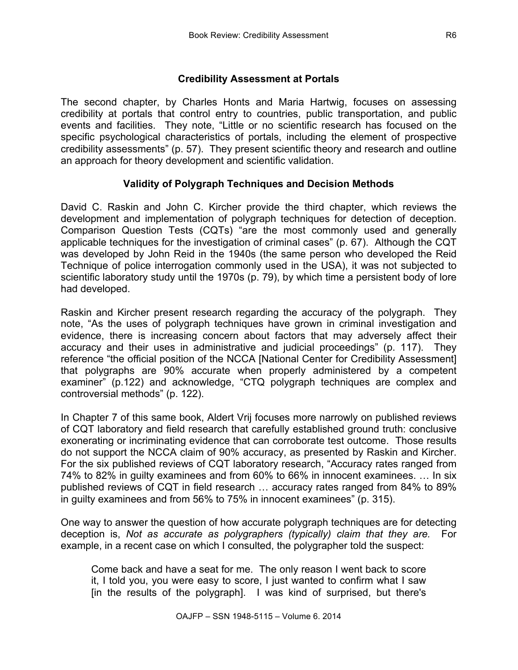# **Credibility Assessment at Portals**

The second chapter, by Charles Honts and Maria Hartwig, focuses on assessing credibility at portals that control entry to countries, public transportation, and public events and facilities. They note, "Little or no scientific research has focused on the specific psychological characteristics of portals, including the element of prospective credibility assessments" (p. 57). They present scientific theory and research and outline an approach for theory development and scientific validation.

## **Validity of Polygraph Techniques and Decision Methods**

David C. Raskin and John C. Kircher provide the third chapter, which reviews the development and implementation of polygraph techniques for detection of deception. Comparison Question Tests (CQTs) "are the most commonly used and generally applicable techniques for the investigation of criminal cases" (p. 67). Although the CQT was developed by John Reid in the 1940s (the same person who developed the Reid Technique of police interrogation commonly used in the USA), it was not subjected to scientific laboratory study until the 1970s (p. 79), by which time a persistent body of lore had developed.

Raskin and Kircher present research regarding the accuracy of the polygraph. They note, "As the uses of polygraph techniques have grown in criminal investigation and evidence, there is increasing concern about factors that may adversely affect their accuracy and their uses in administrative and judicial proceedings" (p. 117). They reference "the official position of the NCCA [National Center for Credibility Assessment] that polygraphs are 90% accurate when properly administered by a competent examiner" (p.122) and acknowledge, "CTQ polygraph techniques are complex and controversial methods" (p. 122).

In Chapter 7 of this same book, Aldert Vrij focuses more narrowly on published reviews of CQT laboratory and field research that carefully established ground truth: conclusive exonerating or incriminating evidence that can corroborate test outcome. Those results do not support the NCCA claim of 90% accuracy, as presented by Raskin and Kircher. For the six published reviews of CQT laboratory research, "Accuracy rates ranged from 74% to 82% in guilty examinees and from 60% to 66% in innocent examinees. … In six published reviews of CQT in field research … accuracy rates ranged from 84% to 89% in guilty examinees and from 56% to 75% in innocent examinees" (p. 315).

One way to answer the question of how accurate polygraph techniques are for detecting deception is, *Not as accurate as polygraphers (typically) claim that they are.* For example, in a recent case on which I consulted, the polygrapher told the suspect:

Come back and have a seat for me. The only reason I went back to score it, I told you, you were easy to score, I just wanted to confirm what I saw [in the results of the polygraph]. I was kind of surprised, but there's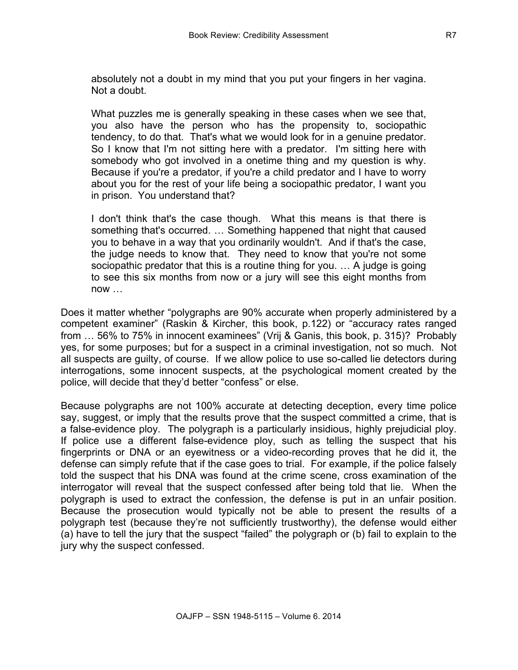absolutely not a doubt in my mind that you put your fingers in her vagina. Not a doubt.

What puzzles me is generally speaking in these cases when we see that, you also have the person who has the propensity to, sociopathic tendency, to do that. That's what we would look for in a genuine predator. So I know that I'm not sitting here with a predator. I'm sitting here with somebody who got involved in a onetime thing and my question is why. Because if you're a predator, if you're a child predator and I have to worry about you for the rest of your life being a sociopathic predator, I want you in prison. You understand that?

I don't think that's the case though. What this means is that there is something that's occurred. … Something happened that night that caused you to behave in a way that you ordinarily wouldn't. And if that's the case, the judge needs to know that. They need to know that you're not some sociopathic predator that this is a routine thing for you. … A judge is going to see this six months from now or a jury will see this eight months from now …

Does it matter whether "polygraphs are 90% accurate when properly administered by a competent examiner" (Raskin & Kircher, this book, p.122) or "accuracy rates ranged from … 56% to 75% in innocent examinees" (Vrij & Ganis, this book, p. 315)? Probably yes, for some purposes; but for a suspect in a criminal investigation, not so much. Not all suspects are guilty, of course. If we allow police to use so-called lie detectors during interrogations, some innocent suspects, at the psychological moment created by the police, will decide that they'd better "confess" or else.

Because polygraphs are not 100% accurate at detecting deception, every time police say, suggest, or imply that the results prove that the suspect committed a crime, that is a false-evidence ploy. The polygraph is a particularly insidious, highly prejudicial ploy. If police use a different false-evidence ploy, such as telling the suspect that his fingerprints or DNA or an eyewitness or a video-recording proves that he did it, the defense can simply refute that if the case goes to trial. For example, if the police falsely told the suspect that his DNA was found at the crime scene, cross examination of the interrogator will reveal that the suspect confessed after being told that lie. When the polygraph is used to extract the confession, the defense is put in an unfair position. Because the prosecution would typically not be able to present the results of a polygraph test (because they're not sufficiently trustworthy), the defense would either (a) have to tell the jury that the suspect "failed" the polygraph or (b) fail to explain to the jury why the suspect confessed.